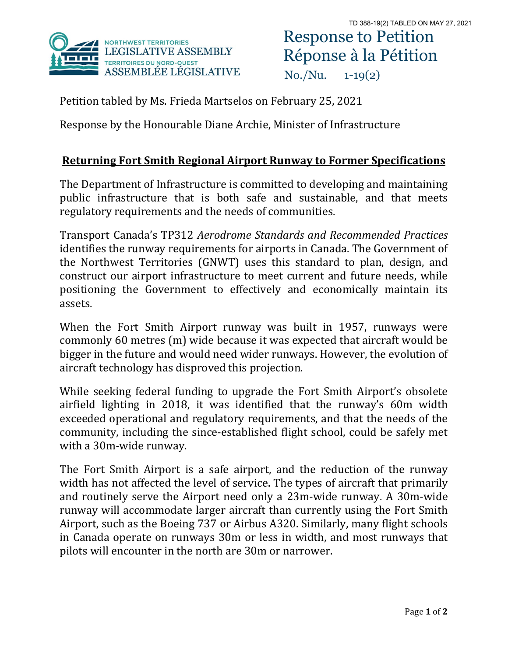

## Response to Petition Réponse à la Pétition No./Nu. 1-19(2)

Petition tabled by Ms. Frieda Martselos on February 25, 2021

Response by the Honourable Diane Archie, Minister of Infrastructure

## **Returning Fort Smith Regional Airport Runway to Former Specifications**

The Department of Infrastructure is committed to developing and maintaining public infrastructure that is both safe and sustainable, and that meets regulatory requirements and the needs of communities.

Transport Canada's TP312 *Aerodrome Standards and Recommended Practices* identifies the runway requirements for airports in Canada. The Government of the Northwest Territories (GNWT) uses this standard to plan, design, and construct our airport infrastructure to meet current and future needs, while positioning the Government to effectively and economically maintain its assets.

When the Fort Smith Airport runway was built in 1957, runways were commonly 60 metres (m) wide because it was expected that aircraft would be bigger in the future and would need wider runways. However, the evolution of aircraft technology has disproved this projection.

While seeking federal funding to upgrade the Fort Smith Airport's obsolete airfield lighting in 2018, it was identified that the runway's 60m width exceeded operational and regulatory requirements, and that the needs of the community, including the since-established flight school, could be safely met with a 30m-wide runway.

The Fort Smith Airport is a safe airport, and the reduction of the runway width has not affected the level of service. The types of aircraft that primarily and routinely serve the Airport need only a 23m-wide runway. A 30m-wide runway will accommodate larger aircraft than currently using the Fort Smith Airport, such as the Boeing 737 or Airbus A320. Similarly, many flight schools in Canada operate on runways 30m or less in width, and most runways that pilots will encounter in the north are 30m or narrower.